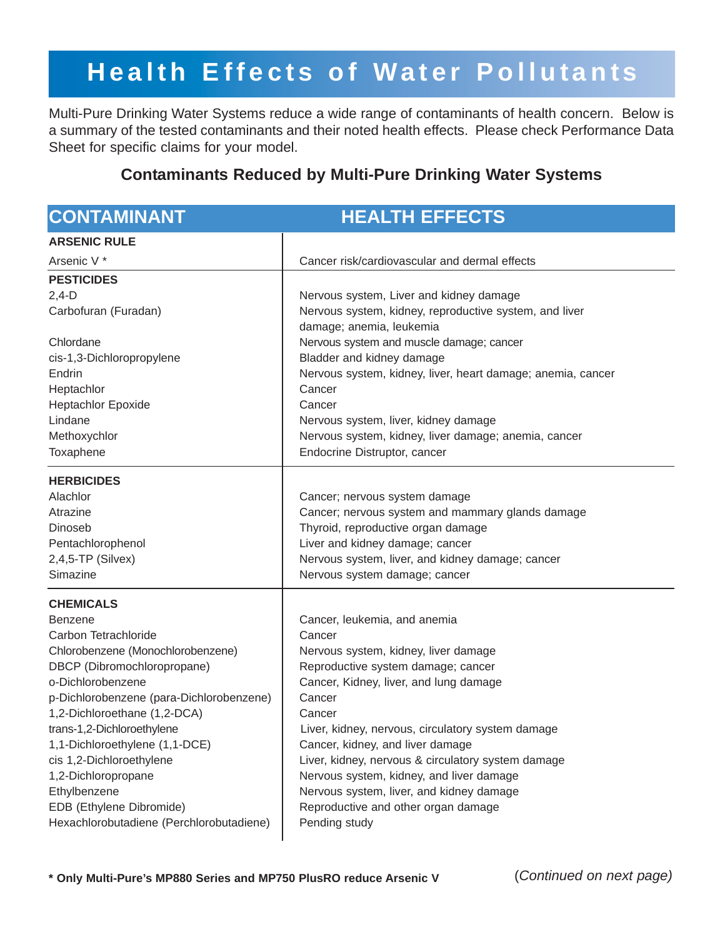# **Health Effects of Water Pollutants**

Multi-Pure Drinking Water Systems reduce a wide range of contaminants of health concern. Below is a summary of the tested contaminants and their noted health effects. Please check Performance Data Sheet for specific claims for your model.

## **Contaminants Reduced by Multi-Pure Drinking Water Systems**

| <b>CONTAMINANT</b>                                                                                                                                                                                                                                                                                                                                                                                                                         | <b>HEALTH EFFECTS</b>                                                                                                                                                                                                                                                                                                                                                                                                                                                             |
|--------------------------------------------------------------------------------------------------------------------------------------------------------------------------------------------------------------------------------------------------------------------------------------------------------------------------------------------------------------------------------------------------------------------------------------------|-----------------------------------------------------------------------------------------------------------------------------------------------------------------------------------------------------------------------------------------------------------------------------------------------------------------------------------------------------------------------------------------------------------------------------------------------------------------------------------|
| <b>ARSENIC RULE</b>                                                                                                                                                                                                                                                                                                                                                                                                                        |                                                                                                                                                                                                                                                                                                                                                                                                                                                                                   |
| Arsenic V <sup>*</sup>                                                                                                                                                                                                                                                                                                                                                                                                                     | Cancer risk/cardiovascular and dermal effects                                                                                                                                                                                                                                                                                                                                                                                                                                     |
| <b>PESTICIDES</b><br>$2,4-D$<br>Carbofuran (Furadan)<br>Chlordane<br>cis-1,3-Dichloropropylene<br>Endrin<br>Heptachlor<br><b>Heptachlor Epoxide</b><br>Lindane<br>Methoxychlor<br>Toxaphene                                                                                                                                                                                                                                                | Nervous system, Liver and kidney damage<br>Nervous system, kidney, reproductive system, and liver<br>damage; anemia, leukemia<br>Nervous system and muscle damage; cancer<br>Bladder and kidney damage<br>Nervous system, kidney, liver, heart damage; anemia, cancer<br>Cancer<br>Cancer<br>Nervous system, liver, kidney damage<br>Nervous system, kidney, liver damage; anemia, cancer<br>Endocrine Distruptor, cancer                                                         |
| <b>HERBICIDES</b><br>Alachlor<br>Atrazine<br><b>Dinoseb</b><br>Pentachlorophenol<br>$2,4,5$ -TP (Silvex)<br>Simazine                                                                                                                                                                                                                                                                                                                       | Cancer; nervous system damage<br>Cancer; nervous system and mammary glands damage<br>Thyroid, reproductive organ damage<br>Liver and kidney damage; cancer<br>Nervous system, liver, and kidney damage; cancer<br>Nervous system damage; cancer                                                                                                                                                                                                                                   |
| <b>CHEMICALS</b><br><b>Benzene</b><br>Carbon Tetrachloride<br>Chlorobenzene (Monochlorobenzene)<br>DBCP (Dibromochloropropane)<br>o-Dichlorobenzene<br>p-Dichlorobenzene (para-Dichlorobenzene)<br>1,2-Dichloroethane (1,2-DCA)<br>trans-1,2-Dichloroethylene<br>1,1-Dichloroethylene (1,1-DCE)<br>cis 1,2-Dichloroethylene<br>1,2-Dichloropropane<br>Ethylbenzene<br>EDB (Ethylene Dibromide)<br>Hexachlorobutadiene (Perchlorobutadiene) | Cancer, leukemia, and anemia<br>Cancer<br>Nervous system, kidney, liver damage<br>Reproductive system damage; cancer<br>Cancer, Kidney, liver, and lung damage<br>Cancer<br>Cancer<br>Liver, kidney, nervous, circulatory system damage<br>Cancer, kidney, and liver damage<br>Liver, kidney, nervous & circulatory system damage<br>Nervous system, kidney, and liver damage<br>Nervous system, liver, and kidney damage<br>Reproductive and other organ damage<br>Pending study |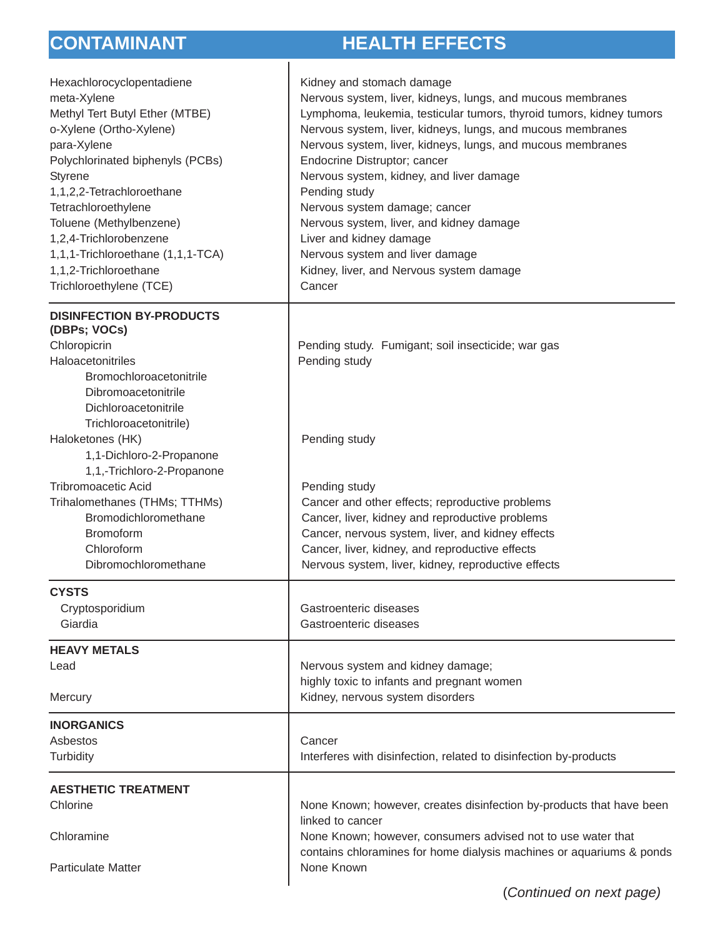## **CONTAMINANT HEALTH EFFECTS**

| Hexachlorocyclopentadiene<br>meta-Xylene<br>Methyl Tert Butyl Ether (MTBE)<br>o-Xylene (Ortho-Xylene)<br>para-Xylene<br>Polychlorinated biphenyls (PCBs)<br>Styrene<br>1,1,2,2-Tetrachloroethane<br>Tetrachloroethylene<br>Toluene (Methylbenzene)<br>1,2,4-Trichlorobenzene<br>1,1,1-Trichloroethane (1,1,1-TCA)<br>1,1,2-Trichloroethane<br>Trichloroethylene (TCE) | Kidney and stomach damage<br>Nervous system, liver, kidneys, lungs, and mucous membranes<br>Lymphoma, leukemia, testicular tumors, thyroid tumors, kidney tumors<br>Nervous system, liver, kidneys, lungs, and mucous membranes<br>Nervous system, liver, kidneys, lungs, and mucous membranes<br>Endocrine Distruptor; cancer<br>Nervous system, kidney, and liver damage<br>Pending study<br>Nervous system damage; cancer<br>Nervous system, liver, and kidney damage<br>Liver and kidney damage<br>Nervous system and liver damage<br>Kidney, liver, and Nervous system damage<br>Cancer |
|-----------------------------------------------------------------------------------------------------------------------------------------------------------------------------------------------------------------------------------------------------------------------------------------------------------------------------------------------------------------------|----------------------------------------------------------------------------------------------------------------------------------------------------------------------------------------------------------------------------------------------------------------------------------------------------------------------------------------------------------------------------------------------------------------------------------------------------------------------------------------------------------------------------------------------------------------------------------------------|
| <b>DISINFECTION BY-PRODUCTS</b><br>(DBPs; VOCs)<br>Chloropicrin<br>Haloacetonitriles<br>Bromochloroacetonitrile<br>Dibromoacetonitrile<br>Dichloroacetonitrile                                                                                                                                                                                                        | Pending study. Fumigant; soil insecticide; war gas<br>Pending study                                                                                                                                                                                                                                                                                                                                                                                                                                                                                                                          |
| Trichloroacetonitrile)<br>Haloketones (HK)<br>1,1-Dichloro-2-Propanone                                                                                                                                                                                                                                                                                                | Pending study                                                                                                                                                                                                                                                                                                                                                                                                                                                                                                                                                                                |
| 1,1,-Trichloro-2-Propanone<br><b>Tribromoacetic Acid</b><br>Trihalomethanes (THMs; TTHMs)<br>Bromodichloromethane<br><b>Bromoform</b><br>Chloroform<br>Dibromochloromethane                                                                                                                                                                                           | Pending study<br>Cancer and other effects; reproductive problems<br>Cancer, liver, kidney and reproductive problems<br>Cancer, nervous system, liver, and kidney effects<br>Cancer, liver, kidney, and reproductive effects<br>Nervous system, liver, kidney, reproductive effects                                                                                                                                                                                                                                                                                                           |
| <b>CYSTS</b><br>Cryptosporidium<br>Giardia                                                                                                                                                                                                                                                                                                                            | Gastroenteric diseases<br>Gastroenteric diseases                                                                                                                                                                                                                                                                                                                                                                                                                                                                                                                                             |
| <b>HEAVY METALS</b>                                                                                                                                                                                                                                                                                                                                                   |                                                                                                                                                                                                                                                                                                                                                                                                                                                                                                                                                                                              |
| Lead<br>Mercury                                                                                                                                                                                                                                                                                                                                                       | Nervous system and kidney damage;<br>highly toxic to infants and pregnant women<br>Kidney, nervous system disorders                                                                                                                                                                                                                                                                                                                                                                                                                                                                          |
| <b>INORGANICS</b><br>Asbestos<br>Turbidity                                                                                                                                                                                                                                                                                                                            | Cancer<br>Interferes with disinfection, related to disinfection by-products                                                                                                                                                                                                                                                                                                                                                                                                                                                                                                                  |
| <b>AESTHETIC TREATMENT</b>                                                                                                                                                                                                                                                                                                                                            |                                                                                                                                                                                                                                                                                                                                                                                                                                                                                                                                                                                              |
| Chlorine                                                                                                                                                                                                                                                                                                                                                              | None Known; however, creates disinfection by-products that have been                                                                                                                                                                                                                                                                                                                                                                                                                                                                                                                         |
| Chloramine<br><b>Particulate Matter</b>                                                                                                                                                                                                                                                                                                                               | linked to cancer<br>None Known; however, consumers advised not to use water that<br>contains chloramines for home dialysis machines or aquariums & ponds<br>None Known                                                                                                                                                                                                                                                                                                                                                                                                                       |
|                                                                                                                                                                                                                                                                                                                                                                       |                                                                                                                                                                                                                                                                                                                                                                                                                                                                                                                                                                                              |

(*Continued on next page)*